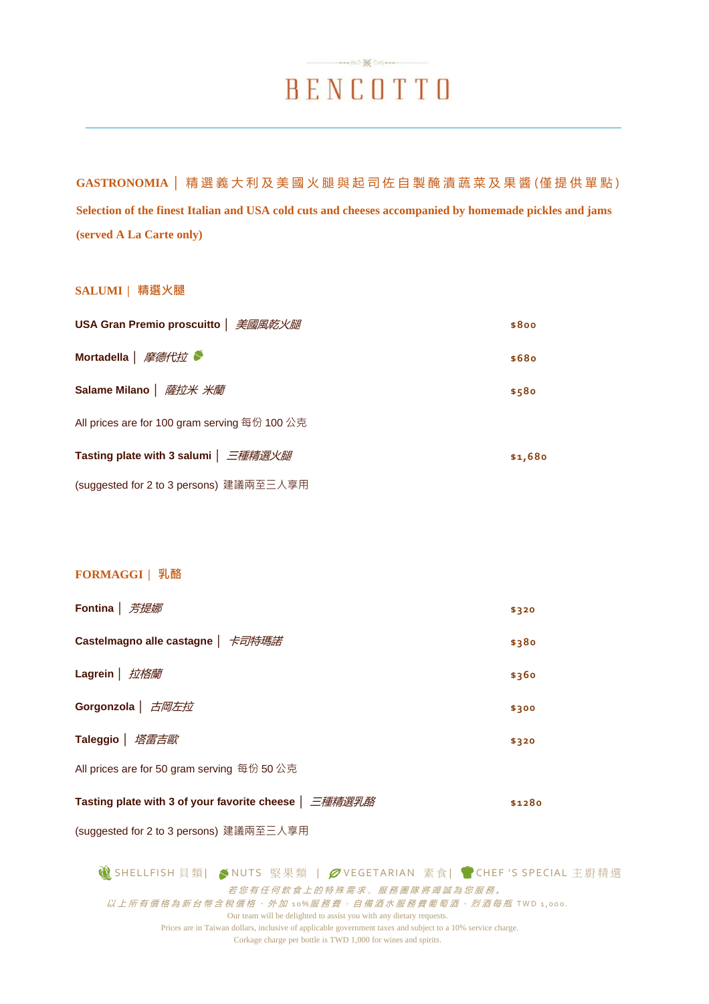# $\longrightarrow \infty$ BENCOTTO

**GASTRONOMIA │** 精 選 義 大 利 及 美 國 火 腿 與 起 司 佐 自 製 醃 漬 蔬 菜 及 果 醬 (僅提供單點 ) **Selection of the finest Italian and USA cold cuts and cheeses accompanied by homemade pickles and jams (served A La Carte only)**

#### **SALUMI │ 精選火腿**

| USA Gran Premio proscuitto   美國風乾火腿           | \$800   |
|-----------------------------------------------|---------|
| Mortadella   摩德代拉                             | \$680   |
| Salame Milano   <i>薩拉米 米蘭</i>                 | \$580   |
| All prices are for 100 gram serving 每份 100 公克 |         |
| Tasting plate with 3 salumi   三種精選火腿          | \$1,680 |
| (suggested for 2 to 3 persons) 建議兩至三人享用       |         |

### **FORMAGGI │ 乳酪**

| <b>Fontina</b>   芳提娜                        | \$320 |
|---------------------------------------------|-------|
| Castelmagno alle castagne   卡司特瑪諾           | \$380 |
| Lagrein   <i>拉格蘭</i>                        | \$360 |
| Gorgonzola   <i>古岡左拉</i>                    | \$300 |
| Taleggio   塔雷吉歐                             | \$320 |
| All prices are for 50 gram serving 每份 50 公克 |       |

|  |  | \$1280 |
|--|--|--------|
|--|--|--------|

(suggested for 2 to 3 persons) 建議兩至三人享用

**③** SHELLFISH 貝類| ◆ NUTS 堅果類 | クVEGETARIAN 素食| ● CHEF 'S SPECIAL 主廚精選 若您有任何飲食上的特殊需求,服務團隊將竭誠為您服務。 以上所有價格為新台幣含稅價格, 外加 10%服務費。自備酒水服務費葡萄酒、烈酒每瓶 TWD 1,000. Our team will be delighted to assist you with any dietary requests. Prices are in Taiwan dollars, inclusive of applicable government taxes and subject to a 10% service charge. Corkage charge per bottle is TWD 1,000 for wines and spirits.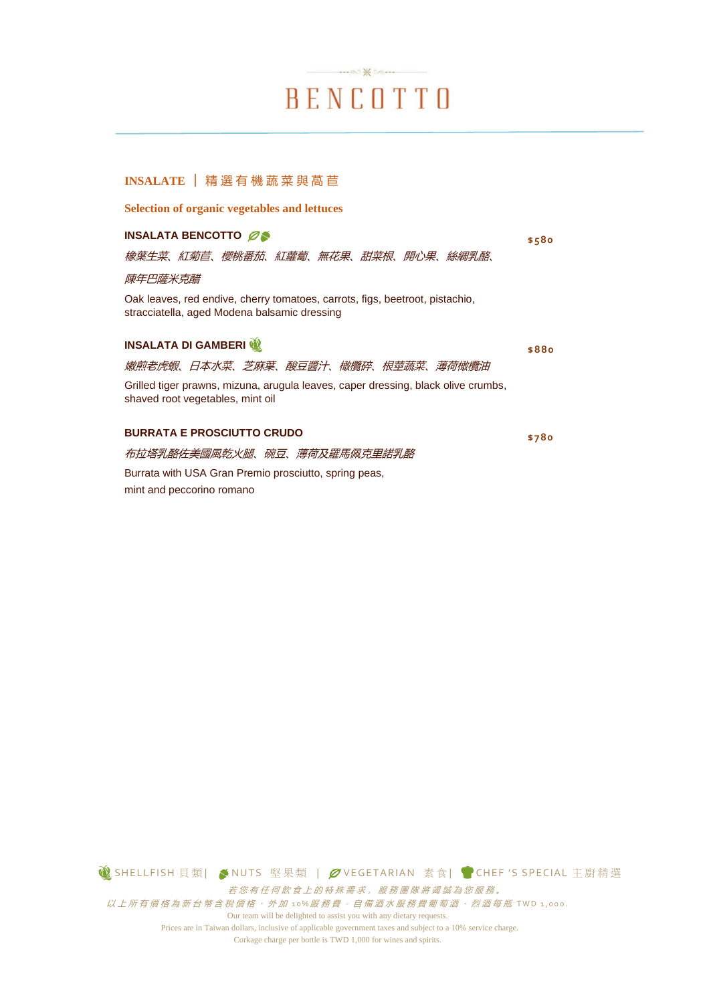BENCOTTO

 $\cdots \otimes \mathbb{X}$ 

**\$580**

**\$880**

### **INSALATE │** 精 選 有 機 蔬 菜 與 萵 苣

**Selection of organic vegetables and lettuces**

#### **INSALATA BENCOTTO**

橡葉生菜、紅菊苣、櫻桃番茄、紅蘿蔔、無花果、甜菜根、開心果、絲綢乳酪、

#### 陳年巴薩米克醋

Oak leaves, red endive, cherry tomatoes, carrots, figs, beetroot, pistachio, stracciatella, aged Modena balsamic dressing

#### **INSALATA DI GAMBERI**

| 嫩煎老虎蝦、日本水菜、芝麻葉、酸豆醬汁、橄欖碎、根莖蔬菜、薄荷橄欖油                                                                                    |  |  |  |       |
|-----------------------------------------------------------------------------------------------------------------------|--|--|--|-------|
| Grilled tiger prawns, mizuna, arugula leaves, caper dressing, black olive crumbs,<br>shaved root vegetables, mint oil |  |  |  |       |
| <b>BURRATA E PROSCIUTTO CRUDO</b>                                                                                     |  |  |  | \$780 |
| 布拉塔乳酪佐美國風乾火腿、碗豆、薄荷及羅馬佩克里諾乳酪                                                                                           |  |  |  |       |

Burrata with USA Gran Premio prosciutto, spring peas, mint and peccorino romano

**⑥**SHELLFISH 貝類| ◆NUTS 堅果類 | クVEGETARIAN 素食| ● CHEF 'S SPECIAL 主廚精選 若您有任何飲食上的特殊需求,服務團隊將竭誠為您服務。 以上所有價格為新台幣含稅價格, 外加 10%服務費。自備酒水服務費葡萄酒、烈酒每瓶 TWD 1,000. Our team will be delighted to assist you with any dietary requests.

Prices are in Taiwan dollars, inclusive of applicable government taxes and subject to a 10% service charge. Corkage charge per bottle is TWD 1,000 for wines and spirits.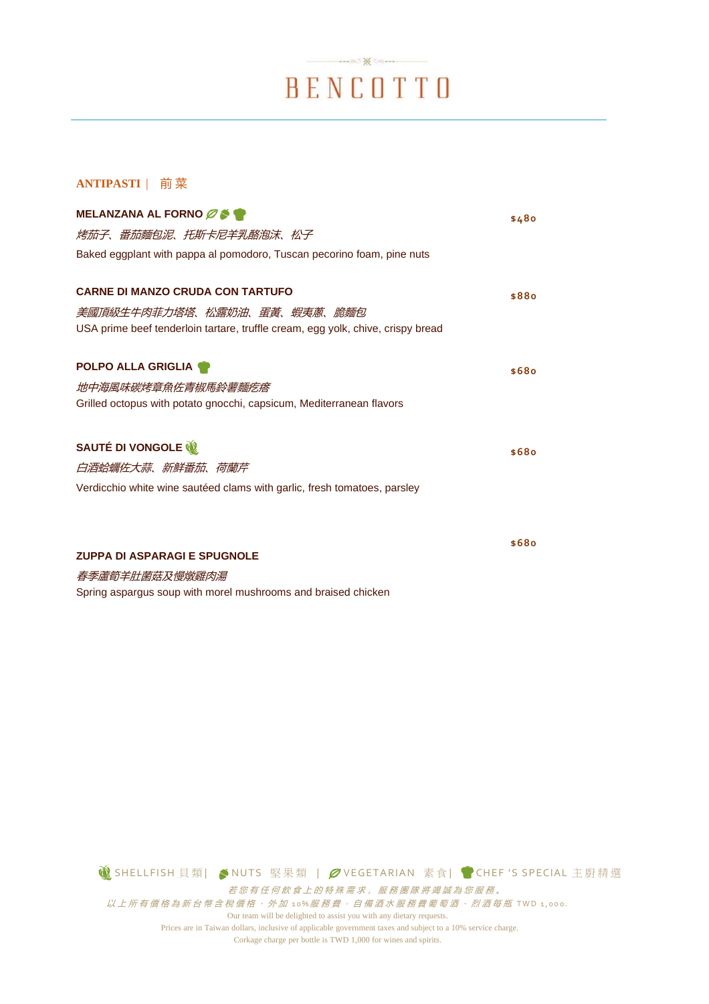# $\longrightarrow \infty$ BENCOTTO

### **ANTIPASTI** | 前 菜

| MELANZANA AL FORNO ØS                                                           | \$480 |
|---------------------------------------------------------------------------------|-------|
| 烤茄子、番茄麵包泥、托斯卡尼羊乳酪泡沫、松子                                                          |       |
| Baked eggplant with pappa al pomodoro, Tuscan pecorino foam, pine nuts          |       |
| <b>CARNE DI MANZO CRUDA CON TARTUFO</b>                                         |       |
|                                                                                 | \$880 |
| 美國頂級生牛肉菲力塔塔、松露奶油、蛋黃、蝦夷蔥、脆麵包                                                     |       |
| USA prime beef tenderloin tartare, truffle cream, egg yolk, chive, crispy bread |       |
| <b>POLPO ALLA GRIGLIA</b>                                                       | \$680 |
| 地中海風味碳烤章魚佐青椒馬鈴薯麵疙瘩                                                              |       |
| Grilled octopus with potato gnocchi, capsicum, Mediterranean flavors            |       |
| SAUTÉ DI VONGOLE                                                                | \$680 |
| 白酒蛤蠣佐大蒜、新鮮番茄、荷蘭芹                                                                |       |
| Verdicchio white wine sautéed clams with garlic, fresh tomatoes, parsley        |       |
|                                                                                 |       |
|                                                                                 |       |
|                                                                                 | \$680 |
| <b>ZUPPA DI ASPARAGI E SPUGNOLE</b>                                             |       |
| 春季蘆筍羊肚菌菇及慢燉雞肉湯                                                                  |       |

Spring aspargus soup with morel mushrooms and braised chicken

**◎ SHELLFISH 貝類| ◆NUTS 堅果類 | ØVEGETARIAN 素食| ● CHEF 'S SPECIAL 主廚精選** 若您有任何飲食上的特殊需求,服務團隊將竭誠為您服務。  $\mathcal{U}$ 上所有價格為新台幣含稅價格, 外加 10%服務費。自備酒水服務費葡萄酒、烈酒每瓶 TWD 1,000.

> Our team will be delighted to assist you with any dietary requests. Prices are in Taiwan dollars, inclusive of applicable government taxes and subject to a 10% service charge. Corkage charge per bottle is TWD 1,000 for wines and spirits.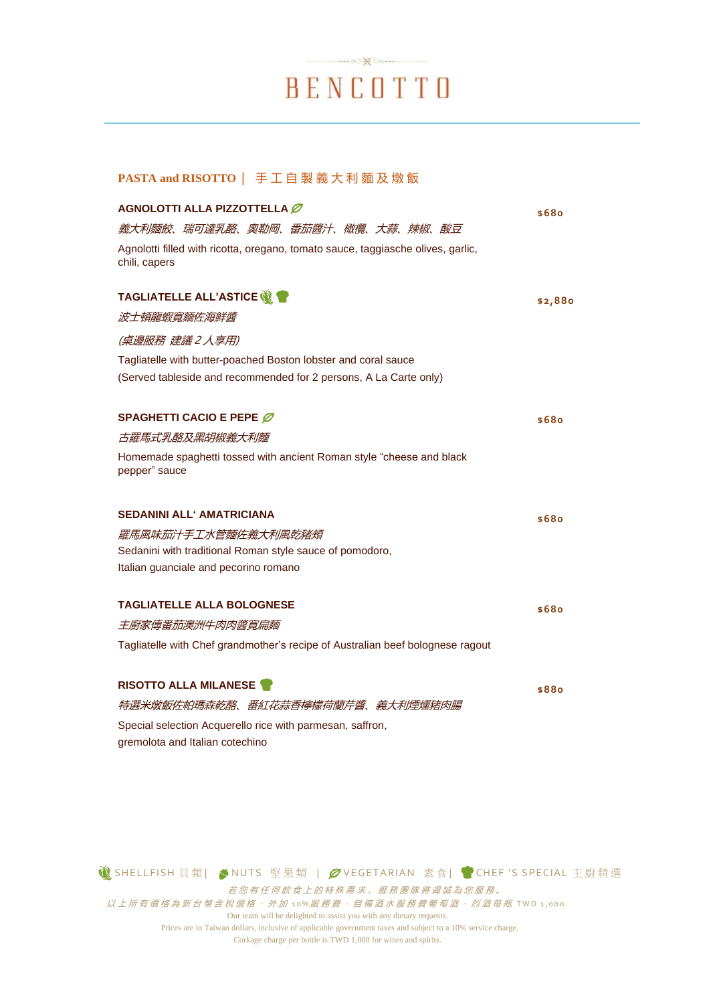# $\longrightarrow \infty$ BENCOTTO

### **PASTA and RISOTTO** | 手 工 自 製 義大利麵及燉飯

| AGNOLOTTI ALLA PIZZOTTELLA                                                                                                          | \$68o   |
|-------------------------------------------------------------------------------------------------------------------------------------|---------|
| 義大利麵餃、瑞可達乳酪、奧勒岡、番茄醬汁、橄欖、大蒜、辣椒、酸豆                                                                                                    |         |
| Agnolotti filled with ricotta, oregano, tomato sauce, taggiasche olives, garlic,<br>chili, capers                                   |         |
| TAGLIATELLE ALL'ASTICE <b>W</b>                                                                                                     | \$2,88o |
| 波士頓龍蝦寬麵佐海鮮醬                                                                                                                         |         |
| (桌邊服務 建議2人享用)                                                                                                                       |         |
| Tagliatelle with butter-poached Boston lobster and coral sauce<br>(Served tableside and recommended for 2 persons, A La Carte only) |         |
| SPAGHETTI CACIO E PEPE Ø                                                                                                            | \$68o   |
| 古羅馬式乳酪及黑胡椒義大利麵                                                                                                                      |         |
| Homemade spaghetti tossed with ancient Roman style "cheese and black<br>pepper" sauce                                               |         |
| <b>SEDANINI ALL' AMATRICIANA</b>                                                                                                    | \$68o   |
| 羅馬風味茄汁手工水管麵佐義大利風乾豬頰                                                                                                                 |         |
| Sedanini with traditional Roman style sauce of pomodoro,                                                                            |         |
| Italian guanciale and pecorino romano                                                                                               |         |
| <b>TAGLIATELLE ALLA BOLOGNESE</b>                                                                                                   | \$680   |
| 主廚家傳番茄澳洲牛肉肉醬寬扁麵                                                                                                                     |         |
| Tagliatelle with Chef grandmother's recipe of Australian beef bolognese ragout                                                      |         |
| <b>RISOTTO ALLA MILANESE T</b>                                                                                                      | \$88o   |
| 特選米燉飯佐帕瑪森乾酪、番紅花蒜香檸檬荷蘭芹醬、義大利煙燻豬肉腸                                                                                                    |         |
| Special selection Acquerello rice with parmesan, saffron,                                                                           |         |
| gremolota and Italian cotechino                                                                                                     |         |

**1 SHELLFISH 貝類| ◆NUTS 堅果類 | クVEGETARIAN 素食| ● CHEF 'S SPECIAL 主廚精選** 若您有任何飲食上的特殊需求,服務團隊將竭誠為您服務。 以上所有價格為新台幣含稅價格, 外加 10%服務費。自備酒水服務費葡萄酒、烈酒每瓶 TWD 1,000. Our team will be delighted to assist you with any dietary requests. Prices are in Taiwan dollars, inclusive of applicable government taxes and subject to a 10% service charge. Corkage charge per bottle is TWD 1,000 for wines and spirits.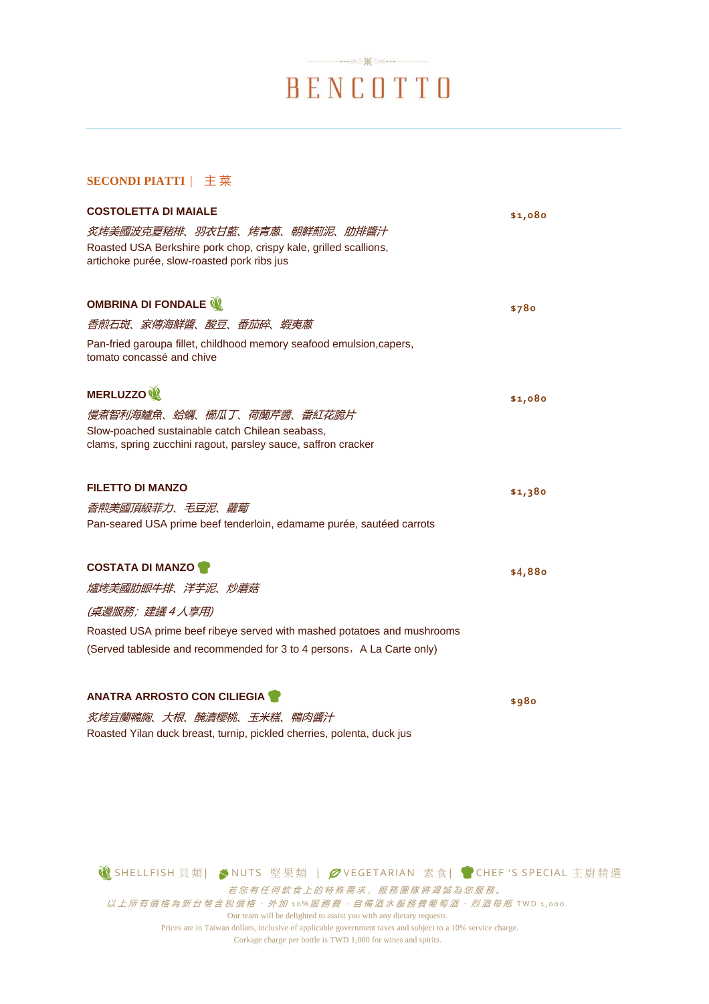# BENCOTTO

### **SECONDI PIATTI** | 主 菜

| <b>COSTOLETTA DI MAIALE</b>                                                                                                                                                                                        | \$1,080 |
|--------------------------------------------------------------------------------------------------------------------------------------------------------------------------------------------------------------------|---------|
| 炙烤美國波克夏豬排、羽衣甘藍、烤青蔥、朝鮮薊泥、肋排醬汁<br>Roasted USA Berkshire pork chop, crispy kale, grilled scallions,<br>artichoke purée, slow-roasted pork ribs jus                                                                    |         |
| OMBRINA DI FONDALE<br>香煎石斑、家傳海鮮醬、酸豆、番茄碎、蝦夷蔥<br>Pan-fried garoupa fillet, childhood memory seafood emulsion, capers,<br>tomato concassé and chive                                                                   | \$780   |
| <b>MERLUZZO</b><br>慢煮智利海鱸魚、蛤蠣、櫛瓜丁、荷蘭芹醬、番紅花脆片<br>Slow-poached sustainable catch Chilean seabass,<br>clams, spring zucchini ragout, parsley sauce, saffron cracker                                                   | \$1,080 |
| <b>FILETTO DI MANZO</b><br>香煎美國頂級菲力、毛豆泥、蘿蔔<br>Pan-seared USA prime beef tenderloin, edamame purée, sautéed carrots                                                                                                 | \$1,380 |
| <b>COSTATA DI MANZO</b><br>爐烤美國肋眼牛排、洋芋泥、炒蘑菇<br>(桌邊服務; 建議4人享用)<br>Roasted USA prime beef ribeye served with mashed potatoes and mushrooms<br>(Served tableside and recommended for 3 to 4 persons, A La Carte only) | \$4,880 |
| <b>ANATRA ARROSTO CON CILIEGIA</b><br><i>炙烤宜蘭鴨胸、大根、醃漬櫻桃、玉米糕、鴨肉醬汁</i><br>Roasted Yilan duck breast, turnip, pickled cherries, polenta, duck jus                                                                     | \$980   |

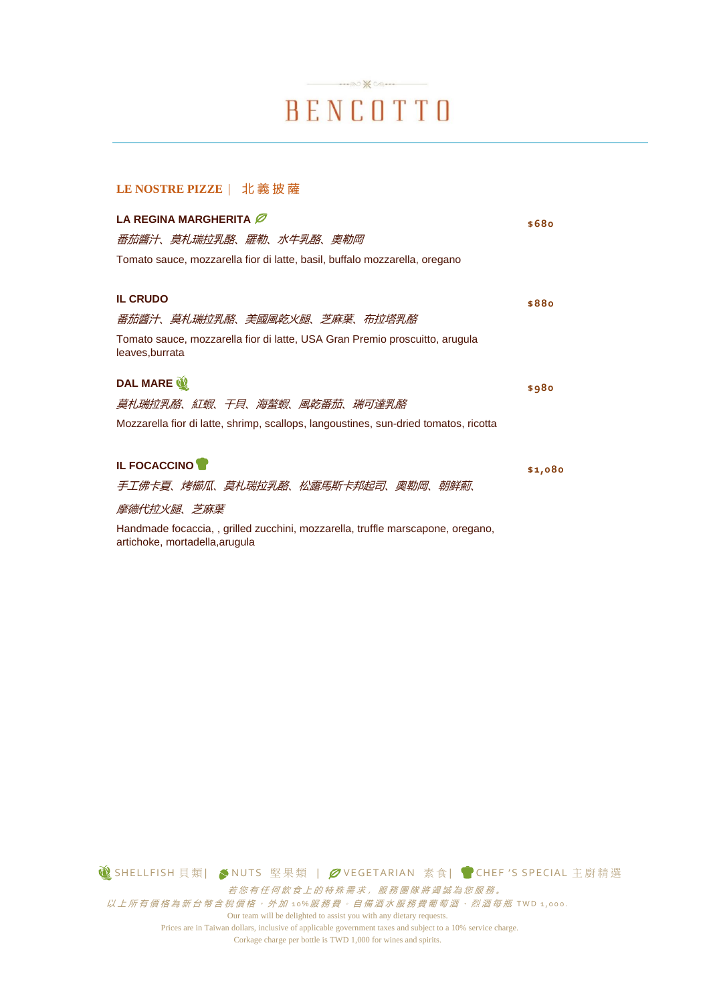# $\dots \otimes \mathbb{X}$ BENCOTTO

#### **LE NOSTRE PIZZE** | 北義披薩

| LA REGINA MARGHERITA                                                                                             | \$680   |
|------------------------------------------------------------------------------------------------------------------|---------|
| 番茄醬汁、莫札瑞拉乳酪、羅勒、水牛乳酪、奧勒岡                                                                                          |         |
| Tomato sauce, mozzarella fior di latte, basil, buffalo mozzarella, oregano                                       |         |
| <b>IL CRUDO</b>                                                                                                  | \$880   |
| 番茄醬汁、莫札瑞拉乳酪、美國風乾火腿、芝麻葉、布拉塔乳酪                                                                                     |         |
| Tomato sauce, mozzarella fior di latte, USA Gran Premio proscuitto, arugula<br>leaves, burrata                   |         |
| DAL MARE                                                                                                         | \$980   |
| 莫札瑞拉乳酪、紅蝦、干貝、海螯蝦、風乾番茄、瑞可達乳酪                                                                                      |         |
| Mozzarella fior di latte, shrimp, scallops, langoustines, sun-dried tomatos, ricotta                             |         |
| <b>IL FOCACCINO</b>                                                                                              | \$1,080 |
| 手工佛卡夏、烤櫛瓜、莫札瑞拉乳酪、松露馬斯卡邦起司、奧勒岡、朝鮮薊、                                                                               |         |
| 摩德代拉火腿、芝麻葉                                                                                                       |         |
| Handmade focaccia,, grilled zucchini, mozzarella, truffle marscapone, oregano,<br>artichoke, mortadella, arugula |         |

**1 SHELLFISH 貝類| ◆NUTS 堅果類 | ØVEGETARIAN 素食| ●CHEF 'S SPECIAL 主廚精選** 若您有任何飲食上的特殊需求,服務團隊將竭誠為您服務。  $\mathcal{U}$ 上所有價格為新台幣含稅價格, 外加 10%服務費。自備酒水服務費葡萄酒、烈酒每瓶 TWD 1,000. Our team will be delighted to assist you with any dietary requests.

Prices are in Taiwan dollars, inclusive of applicable government taxes and subject to a 10% service charge. Corkage charge per bottle is TWD 1,000 for wines and spirits.